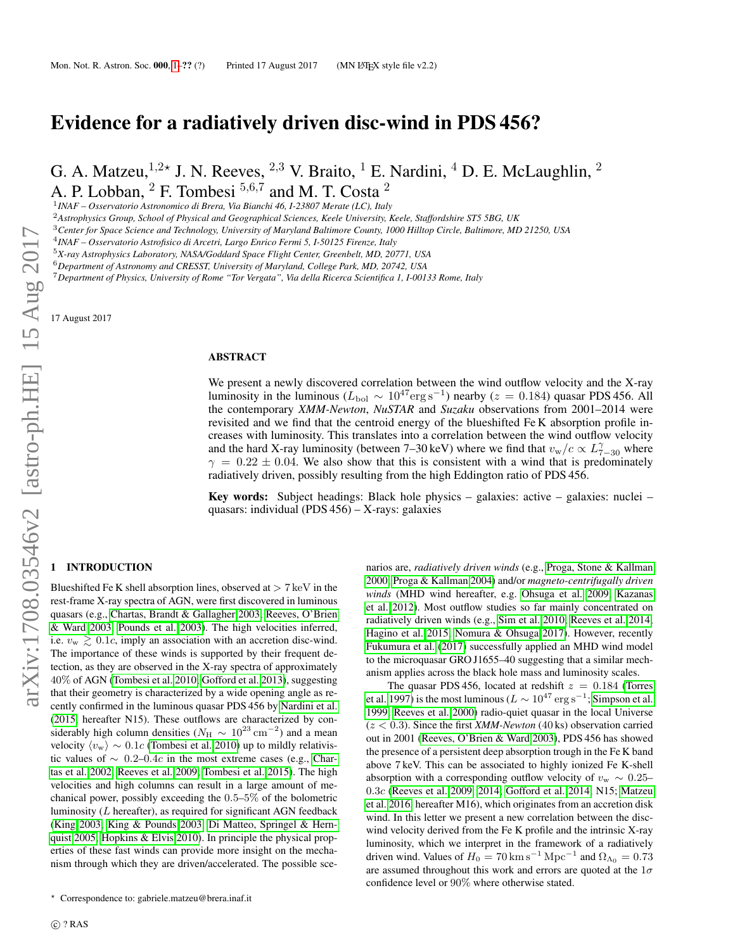# Evidence for a radiatively driven disc-wind in PDS 456?

G. A. Matzeu,  $^{1,2*}$  J. N. Reeves,  $^{2,3}$  V. Braito,  $^1$  E. Nardini,  $^4$  D. E. McLaughlin,  $^2$ A. P. Lobban,  $^2$  F. Tombesi  $^{5,6,7}$  and M. T. Costa  $^2$ 

1 *INAF – Osservatorio Astronomico di Brera, Via Bianchi 46, I-23807 Merate (LC), Italy*

<sup>2</sup>*Astrophysics Group, School of Physical and Geographical Sciences, Keele University, Keele, Staffordshire ST5 5BG, UK*

<sup>3</sup>*Center for Space Science and Technology, University of Maryland Baltimore County, 1000 Hilltop Circle, Baltimore, MD 21250, USA*

4 *INAF – Osservatorio Astrofisico di Arcetri, Largo Enrico Fermi 5, I-50125 Firenze, Italy*

<sup>5</sup>*X-ray Astrophysics Laboratory, NASA/Goddard Space Flight Center, Greenbelt, MD, 20771, USA*

<sup>6</sup>*Department of Astronomy and CRESST, University of Maryland, College Park, MD, 20742, USA*

<sup>7</sup>*Department of Physics, University of Rome "Tor Vergata", Via della Ricerca Scientifica 1, I-00133 Rome, Italy*

17 August 2017

#### ABSTRACT

We present a newly discovered correlation between the wind outflow velocity and the X-ray luminosity in the luminous ( $L_{\text{bol}} \sim 10^{47} \text{erg s}^{-1}$ ) nearby ( $z = 0.184$ ) quasar PDS 456. All the contemporary *XMM-Newton*, *NuSTAR* and *Suzaku* observations from 2001–2014 were revisited and we find that the centroid energy of the blueshifted Fe K absorption profile increases with luminosity. This translates into a correlation between the wind outflow velocity and the hard X-ray luminosity (between 7–30 keV) where we find that  $v_{\rm w}/c \propto L_{7-30}^{\gamma}$  where  $\gamma = 0.22 \pm 0.04$ . We also show that this is consistent with a wind that is predominately radiatively driven, possibly resulting from the high Eddington ratio of PDS 456.

**Key words:** Subject headings: Black hole physics – galaxies: active – galaxies: nuclei – quasars: individual (PDS 456) – X-rays: galaxies

## <span id="page-0-0"></span>1 INTRODUCTION

Blueshifted Fe K shell absorption lines, observed at  $> 7 \,\text{keV}$  in the rest-frame X-ray spectra of AGN, were first discovered in luminous quasars (e.g., [Chartas, Brandt & Gallagher 2003;](#page-4-0) [Reeves, O'Brien](#page-4-1) [& Ward 2003;](#page-4-1) [Pounds et al. 2003\)](#page-4-2). The high velocities inferred, i.e.  $v_{\rm w} \geq 0.1c$ , imply an association with an accretion disc-wind. The importance of these winds is supported by their frequent detection, as they are observed in the X-ray spectra of approximately 40% of AGN [\(Tombesi et al. 2010;](#page-4-3) [Gofford et al. 2013\)](#page-4-4), suggesting that their geometry is characterized by a wide opening angle as recently confirmed in the luminous quasar PDS 456 by [Nardini et al.](#page-4-5) [\(2015,](#page-4-5) hereafter N15). These outflows are characterized by considerably high column densities ( $N_{\rm H} \sim 10^{23} \rm \, cm^{-2}$ ) and a mean velocity  $\langle v_{\rm w} \rangle \sim 0.1c$  [\(Tombesi et al. 2010\)](#page-4-3) up to mildly relativistic values of  $\sim 0.2$ –0.4c in the most extreme cases (e.g., [Char](#page-4-6)[tas et al. 2002;](#page-4-6) [Reeves et al. 2009;](#page-4-7) [Tombesi et al. 2015\)](#page-4-8). The high velocities and high columns can result in a large amount of mechanical power, possibly exceeding the 0.5–5% of the bolometric luminosity  $(L)$  hereafter), as required for significant AGN feedback [\(King 2003;](#page-4-9) [King & Pounds 2003;](#page-4-10) [Di Matteo, Springel & Hern](#page-4-11)[quist 2005;](#page-4-11) [Hopkins & Elvis 2010\)](#page-4-12). In principle the physical properties of these fast winds can provide more insight on the mechanism through which they are driven/accelerated. The possible sce-

narios are, *radiatively driven winds* (e.g., [Proga, Stone & Kallman](#page-4-13) [2000;](#page-4-13) [Proga & Kallman 2004\)](#page-4-14) and/or *magneto-centrifugally driven winds* (MHD wind hereafter, e.g. [Ohsuga et al. 2009;](#page-4-15) [Kazanas](#page-4-16) [et al. 2012\)](#page-4-16). Most outflow studies so far mainly concentrated on radiatively driven winds (e.g., [Sim et al. 2010;](#page-4-17) [Reeves et al. 2014;](#page-4-18) [Hagino et al. 2015;](#page-4-19) [Nomura & Ohsuga 2017\)](#page-4-20). However, recently [Fukumura et al.](#page-4-21) [\(2017\)](#page-4-21) successfully applied an MHD wind model to the microquasar GRO J1655–40 suggesting that a similar mechanism applies across the black hole mass and luminosity scales.

The quasar PDS 456, located at redshift  $z = 0.184$  [\(Torres](#page-4-22) [et al. 1997\)](#page-4-22) is the most luminous ( $L \sim 10^{47} \,\text{erg} \,\text{s}^{-1}$ ; [Simpson et al.](#page-4-23) [1999;](#page-4-23) [Reeves et al. 2000\)](#page-4-24) radio-quiet quasar in the local Universe  $(z < 0.3)$ . Since the first *XMM-Newton* (40 ks) observation carried out in 2001 [\(Reeves, O'Brien & Ward 2003\)](#page-4-1), PDS 456 has showed the presence of a persistent deep absorption trough in the Fe K band above 7 keV. This can be associated to highly ionized Fe K-shell absorption with a corresponding outflow velocity of  $v_{\rm w} \sim 0.25$ – 0.3c [\(Reeves et al. 2009,](#page-4-7) [2014;](#page-4-18) [Gofford et al. 2014;](#page-4-25) N15; [Matzeu](#page-4-26) [et al. 2016,](#page-4-26) hereafter M16), which originates from an accretion disk wind. In this letter we present a new correlation between the discwind velocity derived from the Fe K profile and the intrinsic X-ray luminosity, which we interpret in the framework of a radiatively driven wind. Values of  $H_0 = 70 \text{ km s}^{-1} \text{ Mpc}^{-1}$  and  $\Omega_{\Lambda_0} = 0.73$ are assumed throughout this work and errors are quoted at the  $1\sigma$ confidence level or 90% where otherwise stated.

<sup>?</sup> Correspondence to: gabriele.matzeu@brera.inaf.it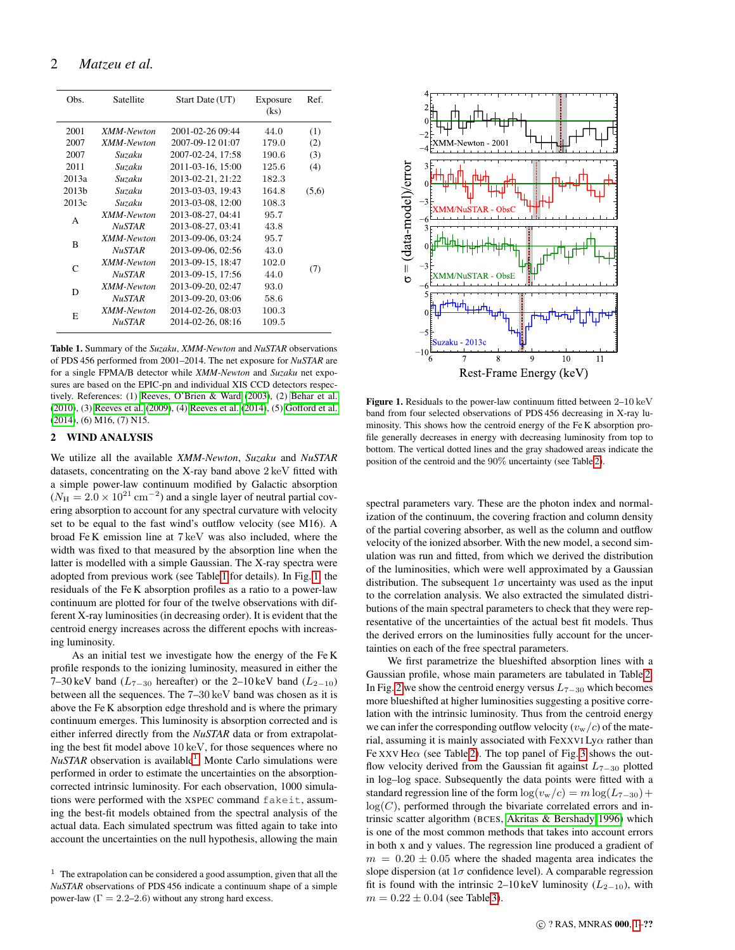| Obs.              | Satellite         | Start Date (UT)   | Exposure<br>(ks) | Ref.  |
|-------------------|-------------------|-------------------|------------------|-------|
| 2001              | XMM-Newton        | 2001-02-26 09:44  | 44.0             | (1)   |
| 2007              | XMM-Newton        | 2007-09-12 01:07  | 179.0            | (2)   |
| 2007              | Suzaku            | 2007-02-24, 17:58 | 190.6            | (3)   |
| 2011              | Suzaku            | 2011-03-16, 15:00 | 125.6            | (4)   |
| 2013a             | Suzaku            | 2013-02-21, 21:22 | 182.3            |       |
| 2013 <sub>b</sub> | Suzaku            | 2013-03-03, 19:43 | 164.8            | (5,6) |
| 2013c             | Suzaku            | 2013-03-08, 12:00 | 108.3            |       |
| A                 | XMM-Newton        | 2013-08-27, 04:41 | 95.7             |       |
|                   | <b>NuSTAR</b>     | 2013-08-27, 03:41 | 43.8             |       |
| R                 | XMM-Newton        | 2013-09-06, 03:24 | 95.7             |       |
|                   | <b>NuSTAR</b>     | 2013-09-06, 02:56 | 43.0             |       |
| C                 | <b>XMM-Newton</b> | 2013-09-15, 18:47 | 102.0            |       |
|                   | NuSTAR            | 2013-09-15, 17:56 | 44.0             | (7)   |
| D                 | XMM-Newton        | 2013-09-20, 02:47 | 93.0             |       |
|                   | <i>NuSTAR</i>     | 2013-09-20, 03:06 | 58.6             |       |
| E                 | <b>XMM-Newton</b> | 2014-02-26, 08:03 | 100.3            |       |
|                   | <b>NuSTAR</b>     | 2014-02-26, 08:16 | 109.5            |       |
|                   |                   |                   |                  |       |

<span id="page-1-0"></span>Table 1. Summary of the *Suzaku*, *XMM-Newton* and *NuSTAR* observations of PDS 456 performed from 2001–2014. The net exposure for *NuSTAR* are for a single FPMA/B detector while *XMM-Newton* and *Suzaku* net exposures are based on the EPIC-pn and individual XIS CCD detectors respectively. References: (1) [Reeves, O'Brien & Ward](#page-4-1) [\(2003\)](#page-4-1), (2) [Behar et al.](#page-4-27) [\(2010\)](#page-4-27), (3) [Reeves et al.](#page-4-7) [\(2009\)](#page-4-7), (4) [Reeves et al.](#page-4-18) [\(2014\)](#page-4-18), (5) [Gofford et al.](#page-4-25) [\(2014\)](#page-4-25), (6) M16, (7) N15.

## 2 WIND ANALYSIS

We utilize all the available *XMM-Newton*, *Suzaku* and *NuSTAR* datasets, concentrating on the X-ray band above 2 keV fitted with a simple power-law continuum modified by Galactic absorption  $(N_{\rm H} = 2.0 \times 10^{21} \text{ cm}^{-2})$  and a single layer of neutral partial covering absorption to account for any spectral curvature with velocity set to be equal to the fast wind's outflow velocity (see M16). A broad Fe K emission line at 7 keV was also included, where the width was fixed to that measured by the absorption line when the latter is modelled with a simple Gaussian. The X-ray spectra were adopted from previous work (see Table [1](#page-1-0) for details). In Fig. [1,](#page-1-1) the residuals of the Fe K absorption profiles as a ratio to a power-law continuum are plotted for four of the twelve observations with different X-ray luminosities (in decreasing order). It is evident that the centroid energy increases across the different epochs with increasing luminosity.

As an initial test we investigate how the energy of the Fe K profile responds to the ionizing luminosity, measured in either the 7–30 keV band ( $L_{7-30}$  hereafter) or the 2–10 keV band ( $L_{2-10}$ ) between all the sequences. The 7–30 keV band was chosen as it is above the Fe K absorption edge threshold and is where the primary continuum emerges. This luminosity is absorption corrected and is either inferred directly from the *NuSTAR* data or from extrapolating the best fit model above 10 keV, for those sequences where no *NuSTAR* observation is available<sup>[1](#page-1-2)</sup>. Monte Carlo simulations were performed in order to estimate the uncertainties on the absorptioncorrected intrinsic luminosity. For each observation, 1000 simulations were performed with the XSPEC command fakeit, assuming the best-fit models obtained from the spectral analysis of the actual data. Each simulated spectrum was fitted again to take into account the uncertainties on the null hypothesis, allowing the main



<span id="page-1-1"></span>Figure 1. Residuals to the power-law continuum fitted between 2–10 keV band from four selected observations of PDS 456 decreasing in X-ray luminosity. This shows how the centroid energy of the Fe K absorption profile generally decreases in energy with decreasing luminosity from top to bottom. The vertical dotted lines and the gray shadowed areas indicate the position of the centroid and the 90% uncertainty (see Table [2\)](#page-2-0).

spectral parameters vary. These are the photon index and normalization of the continuum, the covering fraction and column density of the partial covering absorber, as well as the column and outflow velocity of the ionized absorber. With the new model, a second simulation was run and fitted, from which we derived the distribution of the luminosities, which were well approximated by a Gaussian distribution. The subsequent  $1\sigma$  uncertainty was used as the input to the correlation analysis. We also extracted the simulated distributions of the main spectral parameters to check that they were representative of the uncertainties of the actual best fit models. Thus the derived errors on the luminosities fully account for the uncertainties on each of the free spectral parameters.

We first parametrize the blueshifted absorption lines with a Gaussian profile, whose main parameters are tabulated in Table [2.](#page-2-0) In Fig. [2](#page-2-1) we show the centroid energy versus  $L_{7-30}$  which becomes more blueshifted at higher luminosities suggesting a positive correlation with the intrinsic luminosity. Thus from the centroid energy we can infer the corresponding outflow velocity  $(v_w/c)$  of the material, assuming it is mainly associated with FeXXVI Ly $\alpha$  rather than Fe XXV He $\alpha$  (see Table [2\)](#page-2-0). The top panel of Fig. [3](#page-3-0) shows the outflow velocity derived from the Gaussian fit against  $L_{7-30}$  plotted in log–log space. Subsequently the data points were fitted with a standard regression line of the form  $\log(v_{\rm w}/c) = m \log(L_{7-30}) +$  $log(C)$ , performed through the bivariate correlated errors and intrinsic scatter algorithm (BCES, [Akritas & Bershady 1996\)](#page-4-28) which is one of the most common methods that takes into account errors in both x and y values. The regression line produced a gradient of  $m = 0.20 \pm 0.05$  where the shaded magenta area indicates the slope dispersion (at  $1\sigma$  confidence level). A comparable regression fit is found with the intrinsic 2–10 keV luminosity ( $L_{2-10}$ ), with  $m = 0.22 \pm 0.04$  (see Table [3\)](#page-2-2).

<span id="page-1-2"></span><sup>&</sup>lt;sup>1</sup> The extrapolation can be considered a good assumption, given that all the *NuSTAR* observations of PDS 456 indicate a continuum shape of a simple power-law  $(\Gamma = 2.2{\text -}2.6)$  without any strong hard excess.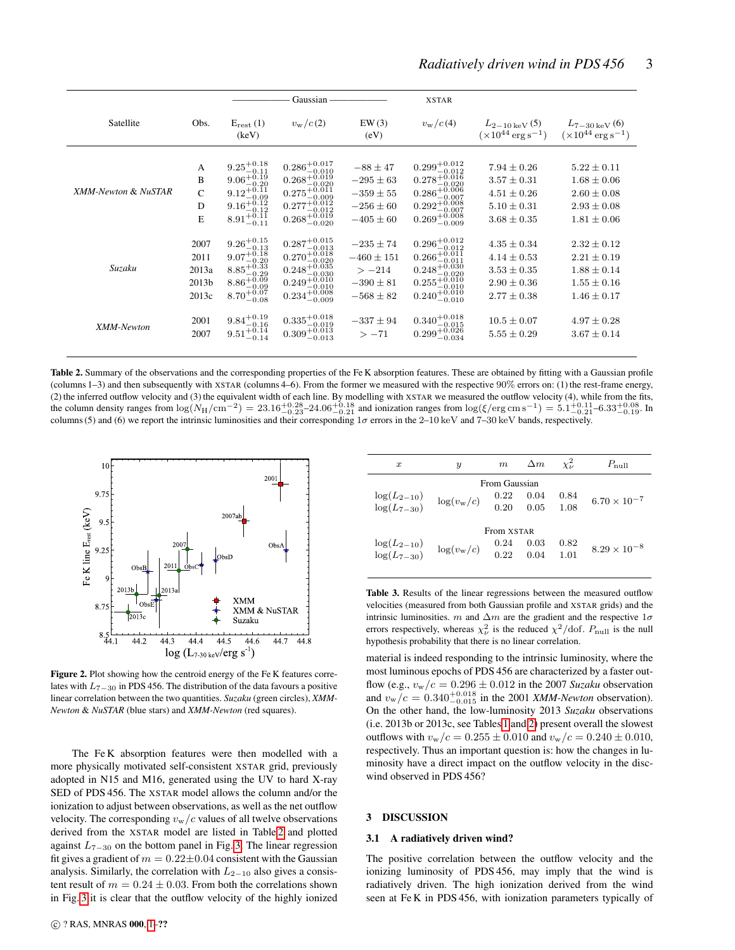|                     |                                         |                                                                                                                                                                                                                           | Gaussian                                                                                                                                                                                     |                                                                                  | <b>XSTAR</b>                                                                                                                                                                      |                                                                                             |                                                                                             |
|---------------------|-----------------------------------------|---------------------------------------------------------------------------------------------------------------------------------------------------------------------------------------------------------------------------|----------------------------------------------------------------------------------------------------------------------------------------------------------------------------------------------|----------------------------------------------------------------------------------|-----------------------------------------------------------------------------------------------------------------------------------------------------------------------------------|---------------------------------------------------------------------------------------------|---------------------------------------------------------------------------------------------|
| Satellite           | Obs.                                    | $E_{rest}$ (1)<br>(keV)                                                                                                                                                                                                   | $v_{\rm w}/c(2)$                                                                                                                                                                             | EW(3)<br>(eV)                                                                    | $v_{\rm w}/c(4)$                                                                                                                                                                  | $L_{2-10\,\text{keV}}(5)$<br>$(\times 10^{44} \,\rm erg \,s^{-1})$                          | $L_{7-30\,\mathrm{keV}}(6)$<br>$(\times 10^{44} \,\rm erg \,s^{-1})$                        |
| XMM-Newton & NuSTAR | A<br>B<br>$\overline{C}$<br>D<br>E      | $9.25_{-0.11}^{+0.18}$<br>9.06 <sup><math>\frac{10.19}{-0.20}</math><br/>9.12<sup><math>\pm</math>0.11</sup></sup><br>$\begin{array}{c} 9.12_{-0.09}^{+0.11} \\ 9.16_{-0.12}^{+0.12} \\ 8.91_{-0.11}^{+0.11} \end{array}$ | $\substack{0.286_{-0.010}^{+0.017} \\\ 0.268_{-0.020}^{+0.019} \\\ 0.275_{-0.009}^{+0.011} }$<br>$-0.009$<br>$0.277^{+0.012}_{-0.012}$<br>0.268 <sup>+0.019</sup><br>0.268 <sup>-0.020</sup> | $-88 \pm 47$<br>$-295 \pm 63$<br>$-359 \pm 55$<br>$-256 \pm 60$<br>$-405 \pm 60$ | $0.299_{-0.012}^{+0.012}$<br>$0.278^{+0.016}_{-0.020}$<br>0.286 <sup>+0.006</sup><br>-0.007<br>$0.292_{-0.007}^{+0.008}_{-0.007}$<br>0.269 <sup>+0.008</sup>                      | $7.94 \pm 0.26$<br>$3.57 \pm 0.31$<br>$4.51 \pm 0.26$<br>$5.10 \pm 0.31$<br>$3.68 \pm 0.35$ | $5.22 \pm 0.11$<br>$1.68 \pm 0.06$<br>$2.60 \pm 0.08$<br>$2.93 \pm 0.08$<br>$1.81 \pm 0.06$ |
| Suzaku              | 2007<br>2011<br>2013a<br>2013b<br>2013c | $\begin{array}{l} 9.26_{-0.13}^{+0.15}\\ 9.07_{-0.20}^{+0.18}\\ 8.85_{-0.29}^{+0.33} \end{array}$<br>$8.86^{+0.09}_{-0.09}$<br>$8.70^{+0.07}_{-0.08}$                                                                     | $\substack{0.287_{-0.013}^{+0.015} \\ 0.270_{-0.020}^{+0.018} \\ 0.248_{-0.039}^{+0.035}}$<br>$0.249^{+0.010}_{-0.010}$<br>$0.234_{-0.009}^{+0.008}$                                         | $-235 \pm 74$<br>$-460 \pm 151$<br>$>-214$<br>$-390 \pm 81$<br>$-568 \pm 82$     | $\substack{0.296_{-0.012}^{+0.012} \\ 0.266_{-0.011}^{+0.012}}$<br>$0.266_{-0.011}^{+0.011}$<br>0.248 <sup>+0.030</sup><br>$0.255_{-0.010}^{+0.010}$<br>$0.240^{+0.010}_{-0.010}$ | $4.35 \pm 0.34$<br>$4.14 \pm 0.53$<br>$3.53 \pm 0.35$<br>$2.90 \pm 0.36$<br>$2.77 \pm 0.38$ | $2.32 \pm 0.12$<br>$2.21 \pm 0.19$<br>$1.88 \pm 0.14$<br>$1.55 \pm 0.16$<br>$1.46 \pm 0.17$ |
| XMM-Newton          | 2001<br>2007                            | $9.84^{+0.19}_{-0.16}$<br>$9.51_{-0.14}^{+0.14}$                                                                                                                                                                          | $0.335_{-0.019}^{+0.018}$<br>$0.309_{-0.013}^{+0.013}$                                                                                                                                       | $-337 \pm 94$<br>$>-71$                                                          | $0.340^{+0.018}_{-0.015}$<br>$0.299^{+0.026}_{-0.034}$                                                                                                                            | $10.5 \pm 0.07$<br>$5.55 \pm 0.29$                                                          | $4.97 \pm 0.28$<br>$3.67 \pm 0.14$                                                          |

<span id="page-2-0"></span>Table 2. Summary of the observations and the corresponding properties of the Fe K absorption features. These are obtained by fitting with a Gaussian profile (columns 1–3) and then subsequently with XSTAR (columns 4–6). From the former we measured with the respective 90% errors on: (1) the rest-frame energy, (2) the inferred outflow velocity and (3) the equivalent width of each line. By modelling with XSTAR we measured the outflow velocity (4), while from the fits, the column density ranges from  $\log(N_H/\text{cm}^{-2}) = 23.16^{+0.28}_{-0.23} - 24.06^{+0.18}_{-0.21}$  and ionization ranges from  $\log(\xi/\text{erg cm s}^{-1}) = 5.1^{+0.11}_{-0.21} - 6.33^{+0.08}_{-0.19}$ . In columns (5) and (6) we report the intrinsic luminosities and their corresponding  $1\sigma$  errors in the 2–10 keV and 7–30 keV bands, respectively.



<span id="page-2-1"></span>Figure 2. Plot showing how the centroid energy of the Fe K features correlates with L7−<sup>30</sup> in PDS 456. The distribution of the data favours a positive linear correlation between the two quantities. *Suzaku* (green circles), *XMM-Newton* & *NuSTAR* (blue stars) and *XMM-Newton* (red squares).

The Fe K absorption features were then modelled with a more physically motivated self-consistent XSTAR grid, previously adopted in N15 and M16, generated using the UV to hard X-ray SED of PDS 456. The XSTAR model allows the column and/or the ionization to adjust between observations, as well as the net outflow velocity. The corresponding  $v_w/c$  values of all twelve observations derived from the XSTAR model are listed in Table [2](#page-2-0) and plotted against  $L_{7-30}$  on the bottom panel in Fig. [3.](#page-3-0) The linear regression fit gives a gradient of  $m = 0.22 \pm 0.04$  consistent with the Gaussian analysis. Similarly, the correlation with  $L_{2-10}$  also gives a consistent result of  $m = 0.24 \pm 0.03$ . From both the correlations shown in Fig. [3](#page-3-0) it is clear that the outflow velocity of the highly ionized

| $\boldsymbol{x}$                   | Y                   | m                             | $\Delta m$   | $\chi^2_{\mu}$ | $P_{\text{null}}$     |  |  |
|------------------------------------|---------------------|-------------------------------|--------------|----------------|-----------------------|--|--|
| $log(L_{2-10})$<br>$log(L_{7-30})$ | $\log(v_{\rm w}/c)$ | From Gaussian<br>0.22<br>0.20 | 0.04<br>0.05 | 0.84<br>1.08   | $6.70 \times 10^{-7}$ |  |  |
| From XSTAR                         |                     |                               |              |                |                       |  |  |
| $log(L_{2-10})$<br>$log(L_{7-30})$ | $\log(v_{\rm w}/c)$ | 0.24<br>0.22                  | 0.03<br>0.04 | 0.82<br>1.01   | $8.29 \times 10^{-8}$ |  |  |

<span id="page-2-2"></span>Table 3. Results of the linear regressions between the measured outflow velocities (measured from both Gaussian profile and XSTAR grids) and the intrinsic luminosities. m and  $\Delta m$  are the gradient and the respective  $1\sigma$ errors respectively, whereas  $\chi^2_{\nu}$  is the reduced  $\chi^2/\text{dof}$ .  $P_{\text{null}}$  is the null hypothesis probability that there is no linear correlation.

material is indeed responding to the intrinsic luminosity, where the most luminous epochs of PDS 456 are characterized by a faster outflow (e.g.,  $v_w/c = 0.296 \pm 0.012$  in the 2007 *Suzaku* observation and  $v_{\rm w}/c = 0.340_{-0.015}^{+0.018}$  in the 2001 *XMM-Newton* observation). On the other hand, the low-luminosity 2013 *Suzaku* observations (i.e. 2013b or 2013c, see Tables [1](#page-1-0) and [2\)](#page-2-0) present overall the slowest outflows with  $v_{\rm w}/c = 0.255 \pm 0.010$  and  $v_{\rm w}/c = 0.240 \pm 0.010$ , respectively. Thus an important question is: how the changes in luminosity have a direct impact on the outflow velocity in the discwind observed in PDS 456?

## 3 DISCUSSION

#### 3.1 A radiatively driven wind?

The positive correlation between the outflow velocity and the ionizing luminosity of PDS 456, may imply that the wind is radiatively driven. The high ionization derived from the wind seen at Fe K in PDS 456, with ionization parameters typically of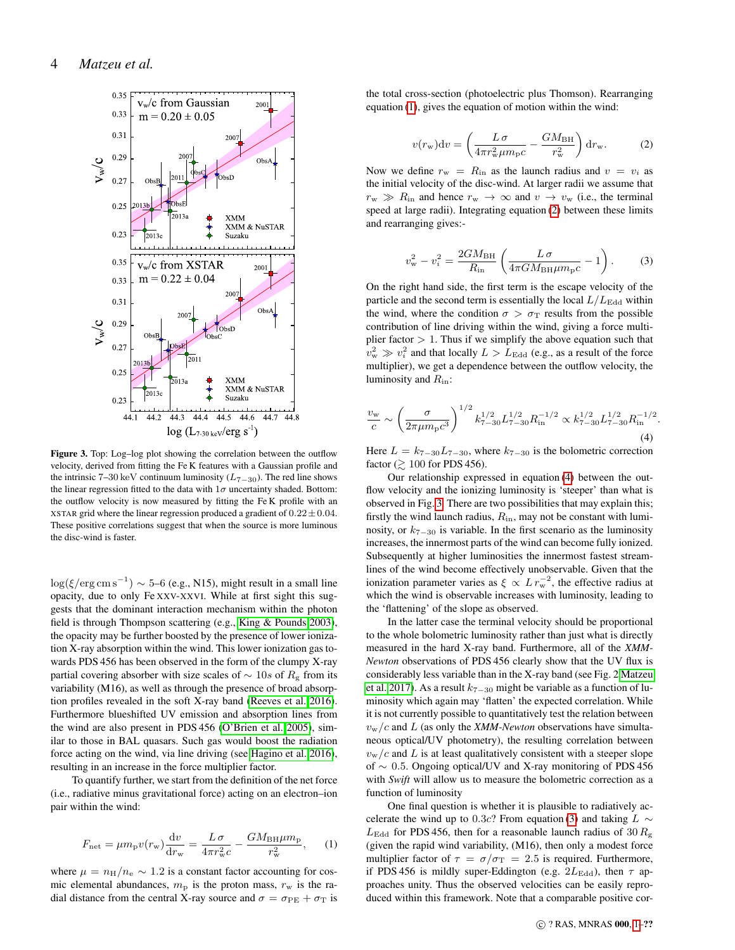

<span id="page-3-0"></span>Figure 3. Top: Log–log plot showing the correlation between the outflow velocity, derived from fitting the Fe K features with a Gaussian profile and the intrinsic 7–30 keV continuum luminosity ( $L_{7-30}$ ). The red line shows the linear regression fitted to the data with  $1\sigma$  uncertainty shaded. Bottom: the outflow velocity is now measured by fitting the Fe K profile with an XSTAR grid where the linear regression produced a gradient of  $0.22 \pm 0.04$ . These positive correlations suggest that when the source is more luminous the disc-wind is faster.

 $\log(\xi/\text{erg cm s}^{-1}) \sim 5\text{-}6$  (e.g., N15), might result in a small line opacity, due to only Fe XXV-XXVI. While at first sight this suggests that the dominant interaction mechanism within the photon field is through Thompson scattering (e.g., [King & Pounds 2003\)](#page-4-10), the opacity may be further boosted by the presence of lower ionization X-ray absorption within the wind. This lower ionization gas towards PDS 456 has been observed in the form of the clumpy X-ray partial covering absorber with size scales of  $\sim$  10s of  $R_{\rm g}$  from its variability (M16), as well as through the presence of broad absorption profiles revealed in the soft X-ray band [\(Reeves et al. 2016\)](#page-4-29). Furthermore blueshifted UV emission and absorption lines from the wind are also present in PDS 456 [\(O'Brien et al. 2005\)](#page-4-30), similar to those in BAL quasars. Such gas would boost the radiation force acting on the wind, via line driving (see [Hagino et al. 2016\)](#page-4-31), resulting in an increase in the force multiplier factor.

To quantify further, we start from the definition of the net force (i.e., radiative minus gravitational force) acting on an electron–ion pair within the wind:

<span id="page-3-1"></span>
$$
F_{\text{net}} = \mu m_{\text{p}} v(r_{\text{w}}) \frac{\text{d}v}{\text{d}r_{\text{w}}} = \frac{L \sigma}{4\pi r_{\text{w}}^2 c} - \frac{GM_{\text{BH}} \mu m_{\text{p}}}{r_{\text{w}}^2}, \quad (1)
$$

where  $\mu = n_{\rm H}/n_{\rm e} \sim 1.2$  is a constant factor accounting for cosmic elemental abundances,  $m<sub>p</sub>$  is the proton mass,  $r<sub>w</sub>$  is the radial distance from the central X-ray source and  $\sigma = \sigma_{PE} + \sigma_T$  is the total cross-section (photoelectric plus Thomson). Rearranging equation [\(1\)](#page-3-1), gives the equation of motion within the wind:

<span id="page-3-2"></span>
$$
v(r_{\rm w})\mathrm{d}v = \left(\frac{L\,\sigma}{4\pi r_{\rm w}^2 \mu m_{\rm p}c} - \frac{GM_{\rm BH}}{r_{\rm w}^2}\right)\mathrm{d}r_{\rm w}.\tag{2}
$$

Now we define  $r_w = R_{\text{in}}$  as the launch radius and  $v = v_i$  as the initial velocity of the disc-wind. At larger radii we assume that  $r_{\rm w} \gg R_{\rm in}$  and hence  $r_{\rm w} \to \infty$  and  $v \to v_{\rm w}$  (i.e., the terminal speed at large radii). Integrating equation [\(2\)](#page-3-2) between these limits and rearranging gives:-

<span id="page-3-4"></span>
$$
v_{\rm w}^2 - v_i^2 = \frac{2GM_{\rm BH}}{R_{\rm in}} \left( \frac{L\,\sigma}{4\pi GM_{\rm BH}\mu m_{\rm p}c} - 1 \right). \tag{3}
$$

On the right hand side, the first term is the escape velocity of the particle and the second term is essentially the local  $L/L_{\rm Edd}$  within the wind, where the condition  $\sigma > \sigma_T$  results from the possible contribution of line driving within the wind, giving a force multiplier factor  $> 1$ . Thus if we simplify the above equation such that  $v_{\rm w}^2 \gg v_i^2$  and that locally  $L > L_{\rm Edd}$  (e.g., as a result of the force multiplier), we get a dependence between the outflow velocity, the luminosity and  $R_{\text{in}}$ :

<span id="page-3-3"></span>
$$
\frac{v_{\rm w}}{c} \sim \left(\frac{\sigma}{2\pi\mu m_{\rm p}c^3}\right)^{1/2} k_{7-30}^{1/2} L_{7-30}^{1/2} R_{\rm in}^{-1/2} \propto k_{7-30}^{1/2} L_{7-30}^{1/2} R_{\rm in}^{-1/2}.
$$
\n(4)

Here  $L = k_{7-30}L_{7-30}$ , where  $k_{7-30}$  is the bolometric correction factor ( $\geq 100$  for PDS 456).

Our relationship expressed in equation [\(4\)](#page-3-3) between the outflow velocity and the ionizing luminosity is 'steeper' than what is observed in Fig. [3.](#page-3-0) There are two possibilities that may explain this; firstly the wind launch radius,  $R_{\text{in}}$ , may not be constant with luminosity, or  $k_{7-30}$  is variable. In the first scenario as the luminosity increases, the innermost parts of the wind can become fully ionized. Subsequently at higher luminosities the innermost fastest streamlines of the wind become effectively unobservable. Given that the ionization parameter varies as  $\xi \propto L r_w^{-2}$ , the effective radius at which the wind is observable increases with luminosity, leading to the 'flattening' of the slope as observed.

In the latter case the terminal velocity should be proportional to the whole bolometric luminosity rather than just what is directly measured in the hard X-ray band. Furthermore, all of the *XMM-Newton* observations of PDS 456 clearly show that the UV flux is considerably less variable than in the X-ray band (see Fig. 2 [Matzeu](#page-4-32) [et al. 2017\)](#page-4-32). As a result  $k_{7-30}$  might be variable as a function of luminosity which again may 'flatten' the expected correlation. While it is not currently possible to quantitatively test the relation between  $v_{\rm w}/c$  and L (as only the *XMM-Newton* observations have simultaneous optical/UV photometry), the resulting correlation between  $v_{\rm w}/c$  and L is at least qualitatively consistent with a steeper slope of ∼ 0.5. Ongoing optical/UV and X-ray monitoring of PDS 456 with *Swift* will allow us to measure the bolometric correction as a function of luminosity

One final question is whether it is plausible to radiatively ac-celerate the wind up to 0.3c? From equation [\(3\)](#page-3-4) and taking  $L \sim$  $L_{\text{Edd}}$  for PDS 456, then for a reasonable launch radius of 30  $R_{\text{g}}$ (given the rapid wind variability, (M16), then only a modest force multiplier factor of  $\tau = \sigma/\sigma_{\rm T} = 2.5$  is required. Furthermore, if PDS 456 is mildly super-Eddington (e.g.  $2L_{\text{Edd}}$ ), then  $\tau$  approaches unity. Thus the observed velocities can be easily reproduced within this framework. Note that a comparable positive cor